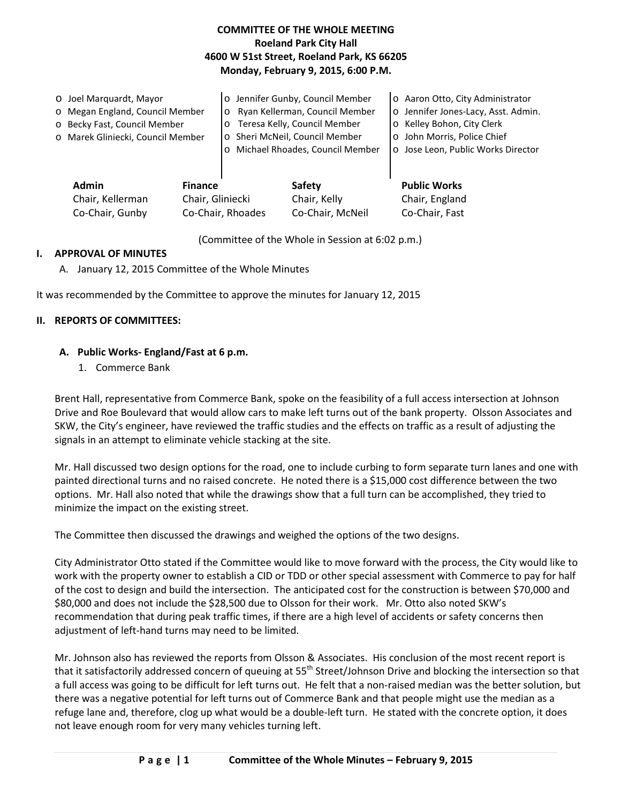## **COMMITTEE OF THE WHOLE MEETING Roeland Park City Hall 4600 W 51st Street, Roeland Park, KS 66205 Monday, February 9, 2015, 6:00 P.M.**

| O Joel Marquardt, Mayor<br>o Megan England, Council Member<br>o Becky Fast, Council Member<br>o Marek Gliniecki, Council Member |                                    | o Jennifer Gunby, Council Member<br>Ryan Kellerman, Council Member<br>$\circ$<br>Teresa Kelly, Council Member<br>$\circ$<br>o Sheri McNeil, Council Member<br>Michael Rhoades, Council Member<br>$\circ$ |                               | o Aaron Otto, City Administrator<br>o Jennifer Jones-Lacy, Asst. Admin.<br>o Kelley Bohon, City Clerk<br>o John Morris, Police Chief<br>o Jose Leon, Public Works Director |
|---------------------------------------------------------------------------------------------------------------------------------|------------------------------------|----------------------------------------------------------------------------------------------------------------------------------------------------------------------------------------------------------|-------------------------------|----------------------------------------------------------------------------------------------------------------------------------------------------------------------------|
| <b>Admin</b><br>Chair, Kellerman                                                                                                | <b>Finance</b><br>Chair, Gliniecki |                                                                                                                                                                                                          | <b>Safety</b><br>Chair, Kelly | <b>Public Works</b><br>Chair, England                                                                                                                                      |

Co-Chair, Gunby Co-Chair, Rhoades Co-Chair, McNeil Co-Chair, Fast

(Committee of the Whole in Session at 6:02 p.m.)

### **I. APPROVAL OF MINUTES**

A. January 12, 2015 Committee of the Whole Minutes

It was recommended by the Committee to approve the minutes for January 12, 2015

#### **II. REPORTS OF COMMITTEES:**

### **A. Public Works- England/Fast at 6 p.m.**

1. Commerce Bank

Brent Hall, representative from Commerce Bank, spoke on the feasibility of a full access intersection at Johnson Drive and Roe Boulevard that would allow cars to make left turns out of the bank property. Olsson Associates and SKW, the City's engineer, have reviewed the traffic studies and the effects on traffic as a result of adjusting the signals in an attempt to eliminate vehicle stacking at the site.

Mr. Hall discussed two design options for the road, one to include curbing to form separate turn lanes and one with painted directional turns and no raised concrete. He noted there is a \$15,000 cost difference between the two options. Mr. Hall also noted that while the drawings show that a full turn can be accomplished, they tried to minimize the impact on the existing street.

The Committee then discussed the drawings and weighed the options of the two designs.

City Administrator Otto stated if the Committee would like to move forward with the process, the City would like to work with the property owner to establish a CID or TDD or other special assessment with Commerce to pay for half of the cost to design and build the intersection. The anticipated cost for the construction is between \$70,000 and \$80,000 and does not include the \$28,500 due to Olsson for their work. Mr. Otto also noted SKW's recommendation that during peak traffic times, if there are a high level of accidents or safety concerns then adjustment of left-hand turns may need to be limited.

Mr. Johnson also has reviewed the reports from Olsson & Associates. His conclusion of the most recent report is that it satisfactorily addressed concern of queuing at 55<sup>th</sup> Street/Johnson Drive and blocking the intersection so that a full access was going to be difficult for left turns out. He felt that a non-raised median was the better solution, but there was a negative potential for left turns out of Commerce Bank and that people might use the median as a refuge lane and, therefore, clog up what would be a double-left turn. He stated with the concrete option, it does not leave enough room for very many vehicles turning left.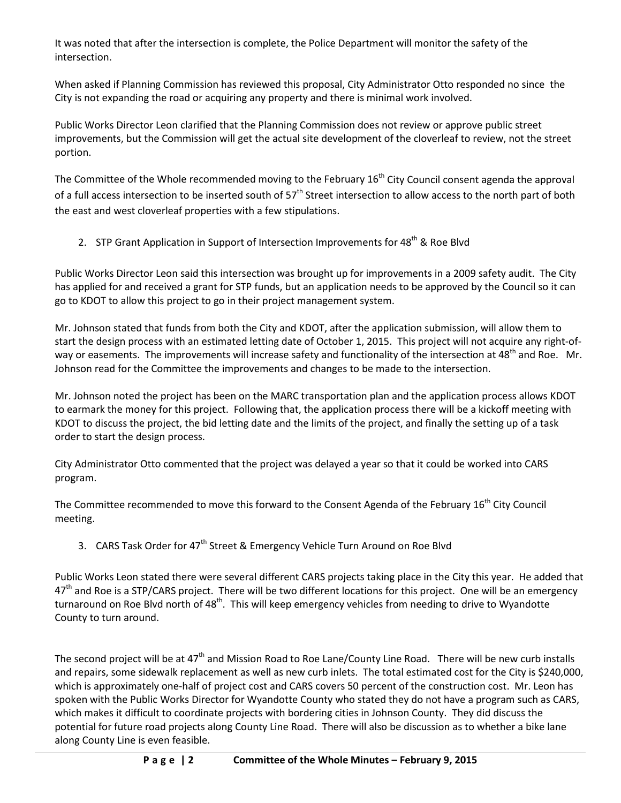It was noted that after the intersection is complete, the Police Department will monitor the safety of the intersection.

When asked if Planning Commission has reviewed this proposal, City Administrator Otto responded no since the City is not expanding the road or acquiring any property and there is minimal work involved.

Public Works Director Leon clarified that the Planning Commission does not review or approve public street improvements, but the Commission will get the actual site development of the cloverleaf to review, not the street portion.

The Committee of the Whole recommended moving to the February  $16<sup>th</sup>$  City Council consent agenda the approval of a full access intersection to be inserted south of  $57<sup>th</sup>$  Street intersection to allow access to the north part of both the east and west cloverleaf properties with a few stipulations.

2. STP Grant Application in Support of Intersection Improvements for 48<sup>th</sup> & Roe Blvd

Public Works Director Leon said this intersection was brought up for improvements in a 2009 safety audit. The City has applied for and received a grant for STP funds, but an application needs to be approved by the Council so it can go to KDOT to allow this project to go in their project management system.

Mr. Johnson stated that funds from both the City and KDOT, after the application submission, will allow them to start the design process with an estimated letting date of October 1, 2015. This project will not acquire any right-ofway or easements. The improvements will increase safety and functionality of the intersection at 48<sup>th</sup> and Roe. Mr. Johnson read for the Committee the improvements and changes to be made to the intersection.

Mr. Johnson noted the project has been on the MARC transportation plan and the application process allows KDOT to earmark the money for this project. Following that, the application process there will be a kickoff meeting with KDOT to discuss the project, the bid letting date and the limits of the project, and finally the setting up of a task order to start the design process.

City Administrator Otto commented that the project was delayed a year so that it could be worked into CARS program.

The Committee recommended to move this forward to the Consent Agenda of the February 16<sup>th</sup> City Council meeting.

3. CARS Task Order for 47<sup>th</sup> Street & Emergency Vehicle Turn Around on Roe Blvd

Public Works Leon stated there were several different CARS projects taking place in the City this year. He added that 47<sup>th</sup> and Roe is a STP/CARS project. There will be two different locations for this project. One will be an emergency turnaround on Roe Blyd north of 48<sup>th</sup>. This will keep emergency vehicles from needing to drive to Wyandotte County to turn around.

The second project will be at 47<sup>th</sup> and Mission Road to Roe Lane/County Line Road. There will be new curb installs and repairs, some sidewalk replacement as well as new curb inlets. The total estimated cost for the City is \$240,000, which is approximately one-half of project cost and CARS covers 50 percent of the construction cost. Mr. Leon has spoken with the Public Works Director for Wyandotte County who stated they do not have a program such as CARS, which makes it difficult to coordinate projects with bordering cities in Johnson County. They did discuss the potential for future road projects along County Line Road. There will also be discussion as to whether a bike lane along County Line is even feasible.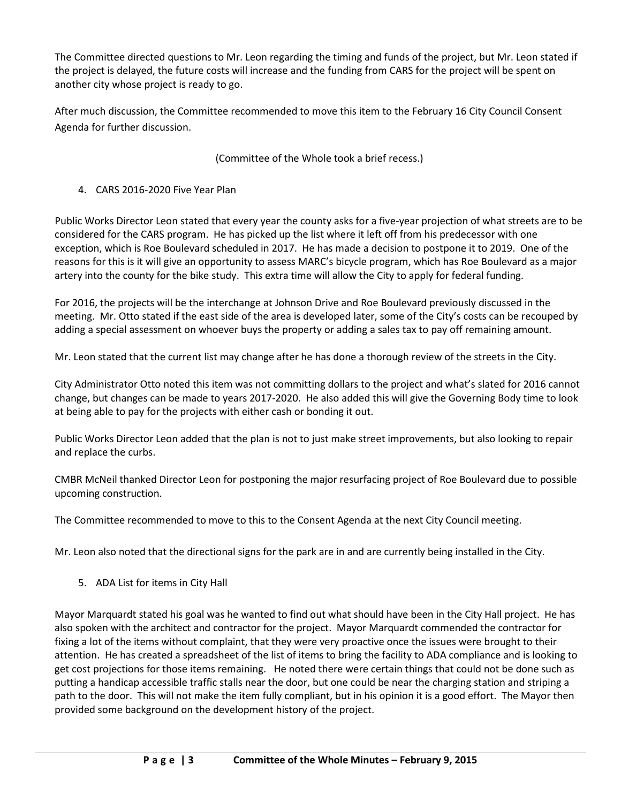The Committee directed questions to Mr. Leon regarding the timing and funds of the project, but Mr. Leon stated if the project is delayed, the future costs will increase and the funding from CARS for the project will be spent on another city whose project is ready to go.

After much discussion, the Committee recommended to move this item to the February 16 City Council Consent Agenda for further discussion.

(Committee of the Whole took a brief recess.)

# 4. CARS 2016-2020 Five Year Plan

Public Works Director Leon stated that every year the county asks for a five-year projection of what streets are to be considered for the CARS program. He has picked up the list where it left off from his predecessor with one exception, which is Roe Boulevard scheduled in 2017. He has made a decision to postpone it to 2019. One of the reasons for this is it will give an opportunity to assess MARC's bicycle program, which has Roe Boulevard as a major artery into the county for the bike study. This extra time will allow the City to apply for federal funding.

For 2016, the projects will be the interchange at Johnson Drive and Roe Boulevard previously discussed in the meeting. Mr. Otto stated if the east side of the area is developed later, some of the City's costs can be recouped by adding a special assessment on whoever buys the property or adding a sales tax to pay off remaining amount.

Mr. Leon stated that the current list may change after he has done a thorough review of the streets in the City.

City Administrator Otto noted this item was not committing dollars to the project and what's slated for 2016 cannot change, but changes can be made to years 2017-2020. He also added this will give the Governing Body time to look at being able to pay for the projects with either cash or bonding it out.

Public Works Director Leon added that the plan is not to just make street improvements, but also looking to repair and replace the curbs.

CMBR McNeil thanked Director Leon for postponing the major resurfacing project of Roe Boulevard due to possible upcoming construction.

The Committee recommended to move to this to the Consent Agenda at the next City Council meeting.

Mr. Leon also noted that the directional signs for the park are in and are currently being installed in the City.

5. ADA List for items in City Hall

Mayor Marquardt stated his goal was he wanted to find out what should have been in the City Hall project. He has also spoken with the architect and contractor for the project. Mayor Marquardt commended the contractor for fixing a lot of the items without complaint, that they were very proactive once the issues were brought to their attention. He has created a spreadsheet of the list of items to bring the facility to ADA compliance and is looking to get cost projections for those items remaining. He noted there were certain things that could not be done such as putting a handicap accessible traffic stalls near the door, but one could be near the charging station and striping a path to the door. This will not make the item fully compliant, but in his opinion it is a good effort. The Mayor then provided some background on the development history of the project.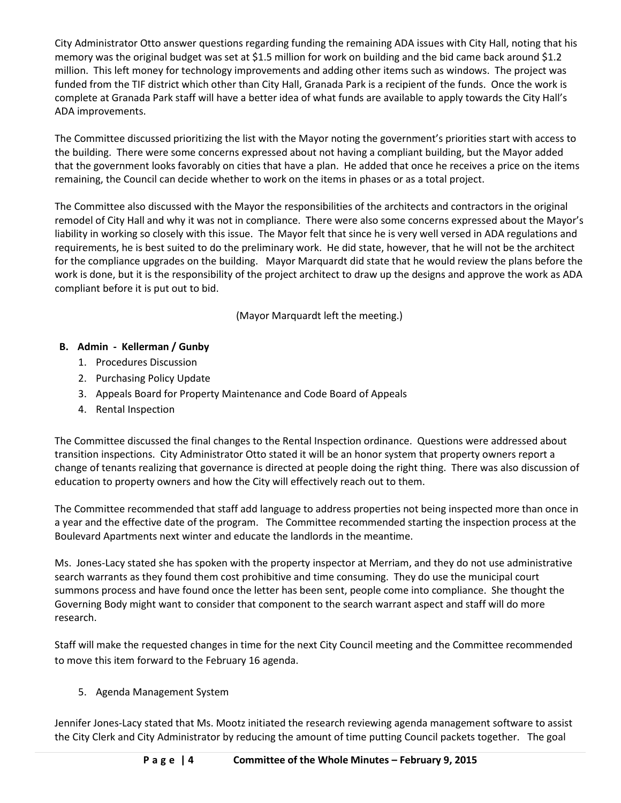City Administrator Otto answer questions regarding funding the remaining ADA issues with City Hall, noting that his memory was the original budget was set at \$1.5 million for work on building and the bid came back around \$1.2 million. This left money for technology improvements and adding other items such as windows. The project was funded from the TIF district which other than City Hall, Granada Park is a recipient of the funds. Once the work is complete at Granada Park staff will have a better idea of what funds are available to apply towards the City Hall's ADA improvements.

The Committee discussed prioritizing the list with the Mayor noting the government's priorities start with access to the building. There were some concerns expressed about not having a compliant building, but the Mayor added that the government looks favorably on cities that have a plan. He added that once he receives a price on the items remaining, the Council can decide whether to work on the items in phases or as a total project.

The Committee also discussed with the Mayor the responsibilities of the architects and contractors in the original remodel of City Hall and why it was not in compliance. There were also some concerns expressed about the Mayor's liability in working so closely with this issue. The Mayor felt that since he is very well versed in ADA regulations and requirements, he is best suited to do the preliminary work. He did state, however, that he will not be the architect for the compliance upgrades on the building. Mayor Marquardt did state that he would review the plans before the work is done, but it is the responsibility of the project architect to draw up the designs and approve the work as ADA compliant before it is put out to bid.

(Mayor Marquardt left the meeting.)

# **B. Admin - Kellerman / Gunby**

- 1. Procedures Discussion
- 2. Purchasing Policy Update
- 3. Appeals Board for Property Maintenance and Code Board of Appeals
- 4. Rental Inspection

The Committee discussed the final changes to the Rental Inspection ordinance. Questions were addressed about transition inspections. City Administrator Otto stated it will be an honor system that property owners report a change of tenants realizing that governance is directed at people doing the right thing. There was also discussion of education to property owners and how the City will effectively reach out to them.

The Committee recommended that staff add language to address properties not being inspected more than once in a year and the effective date of the program. The Committee recommended starting the inspection process at the Boulevard Apartments next winter and educate the landlords in the meantime.

Ms. Jones-Lacy stated she has spoken with the property inspector at Merriam, and they do not use administrative search warrants as they found them cost prohibitive and time consuming. They do use the municipal court summons process and have found once the letter has been sent, people come into compliance. She thought the Governing Body might want to consider that component to the search warrant aspect and staff will do more research.

Staff will make the requested changes in time for the next City Council meeting and the Committee recommended to move this item forward to the February 16 agenda.

## 5. Agenda Management System

Jennifer Jones-Lacy stated that Ms. Mootz initiated the research reviewing agenda management software to assist the City Clerk and City Administrator by reducing the amount of time putting Council packets together. The goal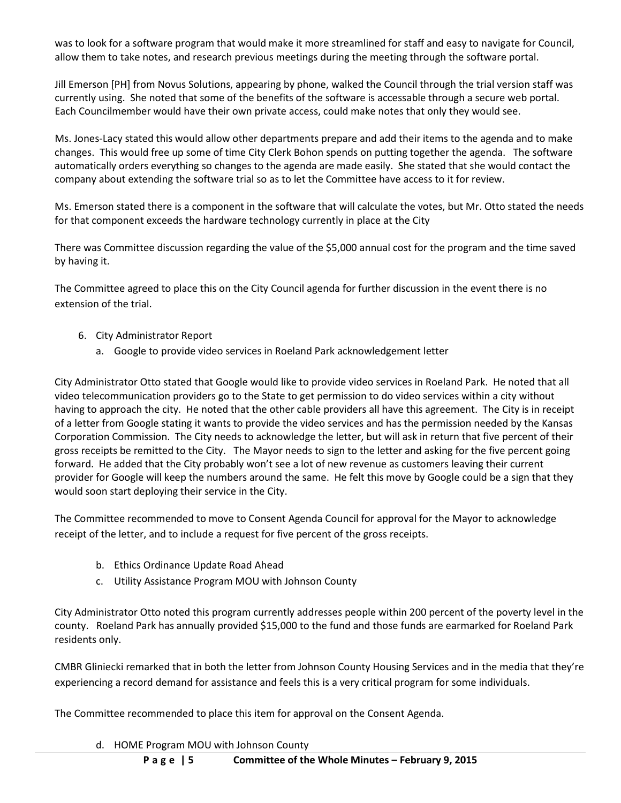was to look for a software program that would make it more streamlined for staff and easy to navigate for Council, allow them to take notes, and research previous meetings during the meeting through the software portal.

Jill Emerson [PH] from Novus Solutions, appearing by phone, walked the Council through the trial version staff was currently using. She noted that some of the benefits of the software is accessable through a secure web portal. Each Councilmember would have their own private access, could make notes that only they would see.

Ms. Jones-Lacy stated this would allow other departments prepare and add their items to the agenda and to make changes. This would free up some of time City Clerk Bohon spends on putting together the agenda. The software automatically orders everything so changes to the agenda are made easily. She stated that she would contact the company about extending the software trial so as to let the Committee have access to it for review.

Ms. Emerson stated there is a component in the software that will calculate the votes, but Mr. Otto stated the needs for that component exceeds the hardware technology currently in place at the City

There was Committee discussion regarding the value of the \$5,000 annual cost for the program and the time saved by having it.

The Committee agreed to place this on the City Council agenda for further discussion in the event there is no extension of the trial.

- 6. City Administrator Report
	- a. Google to provide video services in Roeland Park acknowledgement letter

City Administrator Otto stated that Google would like to provide video services in Roeland Park. He noted that all video telecommunication providers go to the State to get permission to do video services within a city without having to approach the city. He noted that the other cable providers all have this agreement. The City is in receipt of a letter from Google stating it wants to provide the video services and has the permission needed by the Kansas Corporation Commission. The City needs to acknowledge the letter, but will ask in return that five percent of their gross receipts be remitted to the City. The Mayor needs to sign to the letter and asking for the five percent going forward. He added that the City probably won't see a lot of new revenue as customers leaving their current provider for Google will keep the numbers around the same. He felt this move by Google could be a sign that they would soon start deploying their service in the City.

The Committee recommended to move to Consent Agenda Council for approval for the Mayor to acknowledge receipt of the letter, and to include a request for five percent of the gross receipts.

- b. Ethics Ordinance Update Road Ahead
- c. Utility Assistance Program MOU with Johnson County

City Administrator Otto noted this program currently addresses people within 200 percent of the poverty level in the county. Roeland Park has annually provided \$15,000 to the fund and those funds are earmarked for Roeland Park residents only.

CMBR Gliniecki remarked that in both the letter from Johnson County Housing Services and in the media that they're experiencing a record demand for assistance and feels this is a very critical program for some individuals.

The Committee recommended to place this item for approval on the Consent Agenda.

d. HOME Program MOU with Johnson County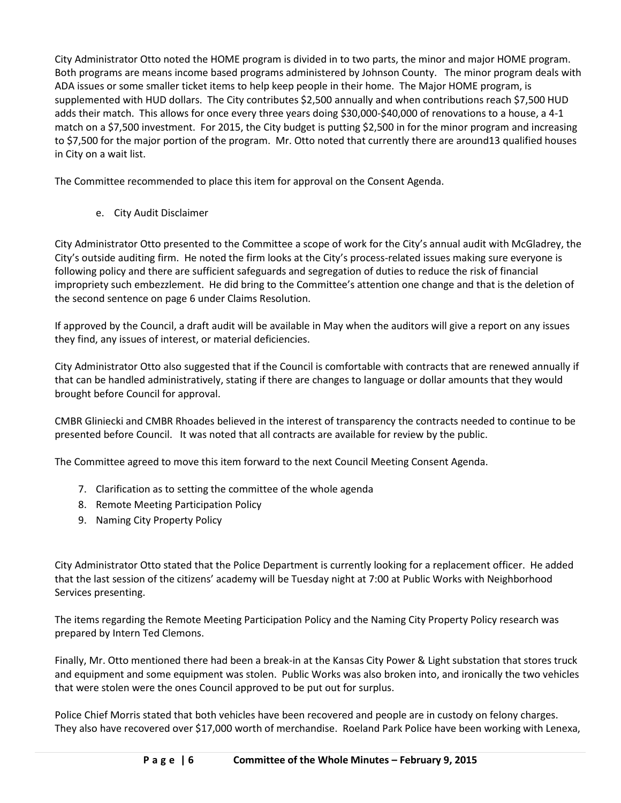City Administrator Otto noted the HOME program is divided in to two parts, the minor and major HOME program. Both programs are means income based programs administered by Johnson County. The minor program deals with ADA issues or some smaller ticket items to help keep people in their home. The Major HOME program, is supplemented with HUD dollars. The City contributes \$2,500 annually and when contributions reach \$7,500 HUD adds their match. This allows for once every three years doing \$30,000-\$40,000 of renovations to a house, a 4-1 match on a \$7,500 investment. For 2015, the City budget is putting \$2,500 in for the minor program and increasing to \$7,500 for the major portion of the program. Mr. Otto noted that currently there are around13 qualified houses in City on a wait list.

The Committee recommended to place this item for approval on the Consent Agenda.

e. City Audit Disclaimer

City Administrator Otto presented to the Committee a scope of work for the City's annual audit with McGladrey, the City's outside auditing firm. He noted the firm looks at the City's process-related issues making sure everyone is following policy and there are sufficient safeguards and segregation of duties to reduce the risk of financial impropriety such embezzlement. He did bring to the Committee's attention one change and that is the deletion of the second sentence on page 6 under Claims Resolution.

If approved by the Council, a draft audit will be available in May when the auditors will give a report on any issues they find, any issues of interest, or material deficiencies.

City Administrator Otto also suggested that if the Council is comfortable with contracts that are renewed annually if that can be handled administratively, stating if there are changes to language or dollar amounts that they would brought before Council for approval.

CMBR Gliniecki and CMBR Rhoades believed in the interest of transparency the contracts needed to continue to be presented before Council. It was noted that all contracts are available for review by the public.

The Committee agreed to move this item forward to the next Council Meeting Consent Agenda.

- 7. Clarification as to setting the committee of the whole agenda
- 8. Remote Meeting Participation Policy
- 9. Naming City Property Policy

City Administrator Otto stated that the Police Department is currently looking for a replacement officer. He added that the last session of the citizens' academy will be Tuesday night at 7:00 at Public Works with Neighborhood Services presenting.

The items regarding the Remote Meeting Participation Policy and the Naming City Property Policy research was prepared by Intern Ted Clemons.

Finally, Mr. Otto mentioned there had been a break-in at the Kansas City Power & Light substation that stores truck and equipment and some equipment was stolen. Public Works was also broken into, and ironically the two vehicles that were stolen were the ones Council approved to be put out for surplus.

Police Chief Morris stated that both vehicles have been recovered and people are in custody on felony charges. They also have recovered over \$17,000 worth of merchandise. Roeland Park Police have been working with Lenexa,